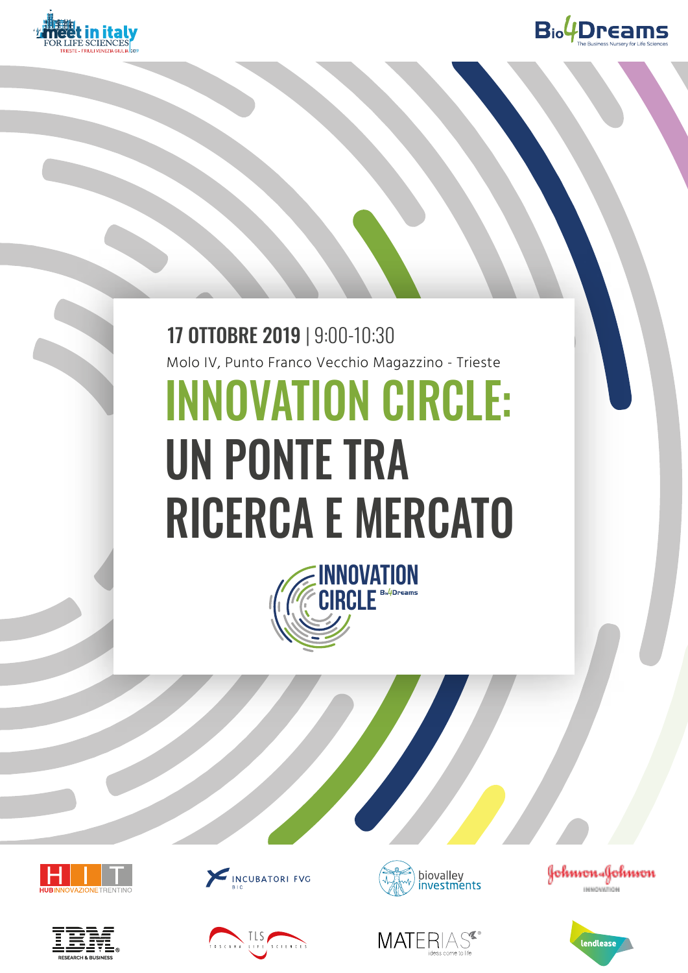



# INNOVATION CIRCLE: UN PONTE TRA RICERCA E MERCATO 17 OTTOBRE 2019 | 9:00-10:30 Molo IV, Punto Franco Vecchio Magazzino - Trieste

















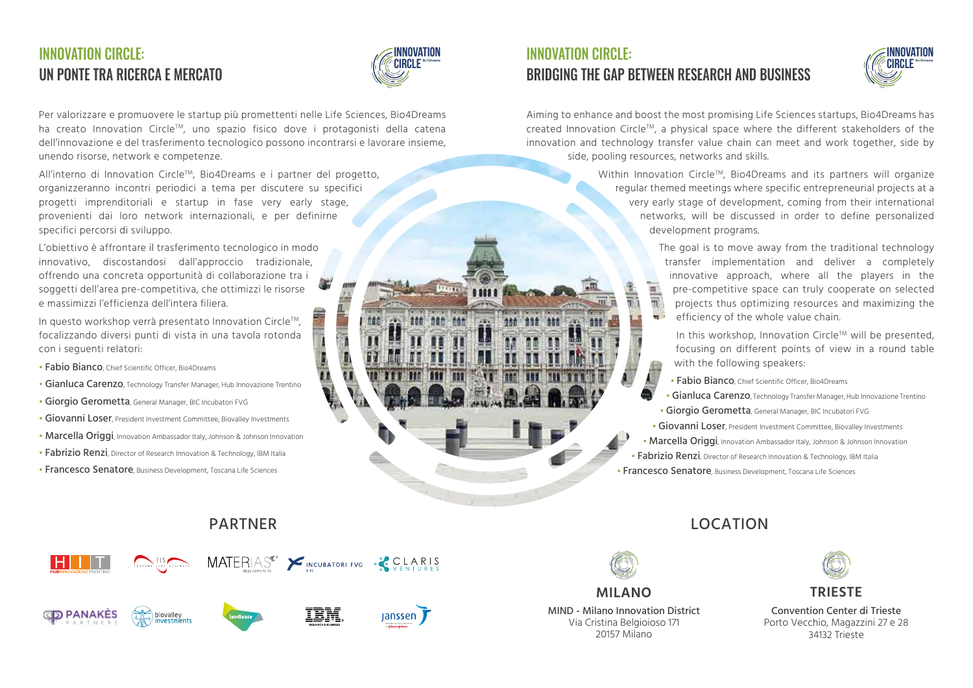## **INNOVATION CIRCLE:** UN PONTE TRA RICERCA E MERCATO



Per valorizzare e promuovere le startup più promettenti nelle Life Sciences, Bio4Dreams ha creato Innovation CircleTM, uno spazio fisico dove i protagonisti della catena dell'innovazione e del trasferimento tecnologico possono incontrarsi e lavorare insieme, unendo risorse, network e competenze.

All'interno di Innovation Circle™, Bio4Dreams e i partner del progetto, organizzeranno incontri periodici a tema per discutere su specifici progetti imprenditoriali e startup in fase very early stage, provenienti dai loro network internazionali, e per definirne specifici percorsi di sviluppo.

L'obiettivo è affrontare il trasferimento tecnologico in modo innovativo, discostandosi dall'approccio tradizionale, offrendo una concreta opportunità di collaborazione tra i soggetti dell'area pre-competitiva, che ottimizzi le risorse e massimizzi l'efficienza dell'intera filiera.

In questo workshop verrà presentato Innovation Circle™. focalizzando diversi punti di vista in una tavola rotonda con i seguenti relatori:

- Fabio Bianco, Chief Scientific Officer, Bio4Dreams
- Gianluca Carenzo, Technology Transfer Manager, Hub Innovazione Trentino
- Giorgio Gerometta, General Manager, BIC Incubatori FVG
- Giovanni Loser, President Investment Committee, Biovalley Investments
- Marcella Origgi, Innovation Ambassador Italy, Johnson & Johnson Innovation
- Fabrizio Renzi, Director of Research Innovation & Technology, IBM Italia
- Francesco Senatore, Business Development, Toscana Life Sciences



## **CD PANAKES**







## **CONSTANT CONSTRUCT:**<br>
International CIRCLE: BRIDGING THE GAP BETWEEN RESEARCH AND BUSINESS



Aiming to enhance and boost the most promising Life Sciences startups, Bio4Dreams has created Innovation CircleTM, a physical space where the different stakeholders of the innovation and technology transfer value chain can meet and work together, side by side, pooling resources, networks and skills.

> Within Innovation Circle™, Bio4Dreams and its partners will organize regular themed meetings where specific entrepreneurial projects at a very early stage of development, coming from their international networks, will be discussed in order to define personalized development programs.

> > The goal is to move away from the traditional technology transfer implementation and deliver a completely innovative approach, where all the players in the pre-competitive space can truly cooperate on selected projects thus optimizing resources and maximizing the efficiency of the whole value chain.

In this workshop, Innovation Circle™ will be presented, focusing on different points of view in a round table with the following speakers:

- Fabio Bianco, Chief Scientific Officer, Bio4Dreams
- Gianluca Carenzo, Technology Transfer Manager, Hub Innovazione Trentino • Giorgio Gerometta, General Manager, BIC Incubatori FVG
- Giovanni Loser, President Investment Committee, Biovalley Investments
- Marcella Origgi, Innovation Ambassador Italy, Johnson & Johnson Innovation
- Fabrizio Renzi, Director of Research Innovation & Technology, IBM Italia
- Francesco Senatore, Business Development, Toscana Life Sciences

## PARTNER LOCATION



**MILANO**

MIND - Milano Innovation District Via Cristina Belgioioso 171 20157 Milano



**TRIESTE**

Convention Center di Trieste Porto Vecchio, Magazzini 27 e 28 34132 Trieste